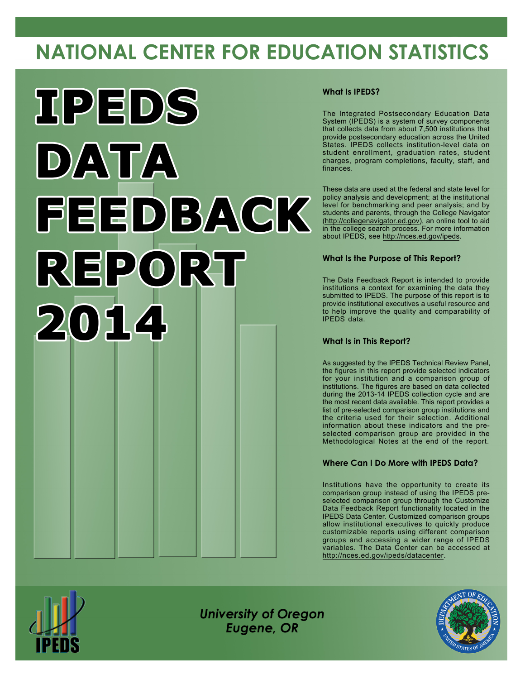# **NATIONAL CENTER FOR EDUCATION STATISTICS**



### **What Is IPEDS?**

The Integrated Postsecondary Education Data System (IPEDS) is a system of survey components that collects data from about 7,500 institutions that provide postsecondary education across the United States. IPEDS collects institution-level data on student enrollment, graduation rates, student charges, program completions, faculty, staff, and finances.

These data are used at the federal and state level for policy analysis and development; at the institutional level for benchmarking and peer analysis; and by students and parents, through the College Navigator [\(http://collegenavigator.ed.gov](http://collegenavigator.ed.gov)), an online tool to aid in the college search process. For more information about IPEDS, see <http://nces.ed.gov/ipeds>.

### **What Is the Purpose of This Report?**

The Data Feedback Report is intended to provide institutions a context for examining the data they submitted to IPEDS. The purpose of this report is to provide institutional executives a useful resource and to help improve the quality and comparability of IPEDS data.

### **What Is in This Report?**

As suggested by the IPEDS Technical Review Panel, the figures in this report provide selected indicators for your institution and a comparison group of institutions. The figures are based on data collected during the 2013-14 IPEDS collection cycle and are the most recent data available. This report provides a list of pre-selected comparison group institutions and the criteria used for their selection. Additional information about these indicators and the preselected comparison group are provided in the Methodological Notes at the end of the report.

## **Where Can I Do More with IPEDS Data?**

Institutions have the opportunity to create its comparison group instead of using the IPEDS preselected comparison group through the Customize Data Feedback Report functionality located in the IPEDS Data Center. Customized comparison groups allow institutional executives to quickly produce customizable reports using different comparison groups and accessing a wider range of IPEDS variables. The Data Center can be accessed at <http://nces.ed.gov/ipeds/datacenter>.



*University of Oregon Eugene, OR*

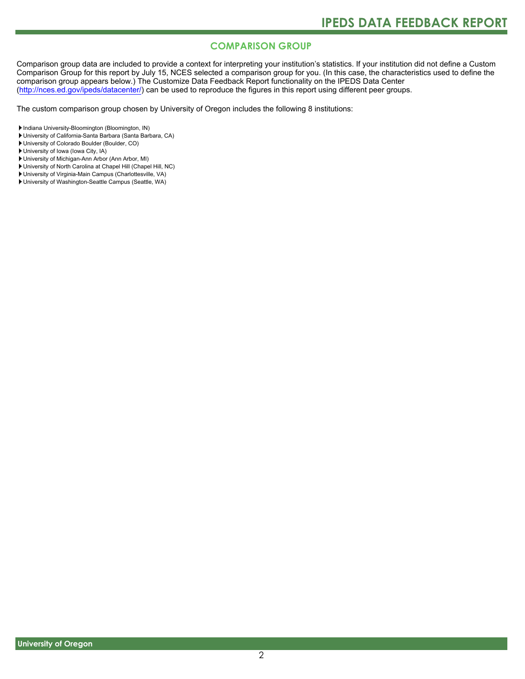# **COMPARISON GROUP**

Comparison group data are included to provide a context for interpreting your institution's statistics. If your institution did not define a Custom Comparison Group for this report by July 15, NCES selected a comparison group for you. (In this case, the characteristics used to define the comparison group appears below.) The Customize Data Feedback Report functionality on the IPEDS Data Center [\(http://nces.ed.gov/ipeds/datacenter/\)](http://nces.ed.gov/ipeds/datacenter/) can be used to reproduce the figures in this report using different peer groups.

The custom comparison group chosen by University of Oregon includes the following 8 institutions:

Indiana University-Bloomington (Bloomington, IN)

- University of California-Santa Barbara (Santa Barbara, CA)
- University of Colorado Boulder (Boulder, CO)

University of Iowa (Iowa City, IA)

- University of Michigan-Ann Arbor (Ann Arbor, MI)
- University of North Carolina at Chapel Hill (Chapel Hill, NC)
- University of Virginia-Main Campus (Charlottesville, VA)
- University of Washington-Seattle Campus (Seattle, WA)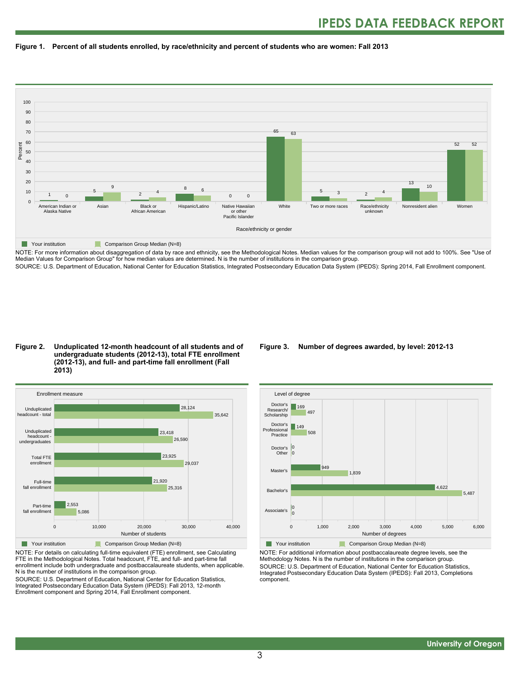



NOTE: For more information about disaggregation of data by race and ethnicity, see the Methodological Notes. Median values for the comparison group will not add to 100%. See "Use of Median Values for Comparison Group" for how median values are determined. N is the number of institutions in the comparison group. SOURCE: U.S. Department of Education, National Center for Education Statistics, Integrated Postsecondary Education Data System (IPEDS): Spring 2014, Fall Enrollment component.

#### **Figure 2. Unduplicated 12-month headcount of all students and of undergraduate students (2012-13), total FTE enrollment (2012-13), and full- and part-time fall enrollment (Fall 2013)**



NOTE: For details on calculating full-time equivalent (FTE) enrollment, see Calculating FTE in the Methodological Notes. Total headcount, FTE, and full- and part-time fall enrollment include both undergraduate and postbaccalaureate students, when applicable. N is the number of institutions in the comparison group.

SOURCE: U.S. Department of Education, National Center for Education Statistics, Integrated Postsecondary Education Data System (IPEDS): Fall 2013, 12-month Enrollment component and Spring 2014, Fall Enrollment component.

#### **Figure 3. Number of degrees awarded, by level: 2012-13**



NOTE: For additional information about postbaccalaureate degree levels, see the Methodology Notes. N is the number of institutions in the comparison group. SOURCE: U.S. Department of Education, National Center for Education Statistics, Integrated Postsecondary Education Data System (IPEDS): Fall 2013, Completions component.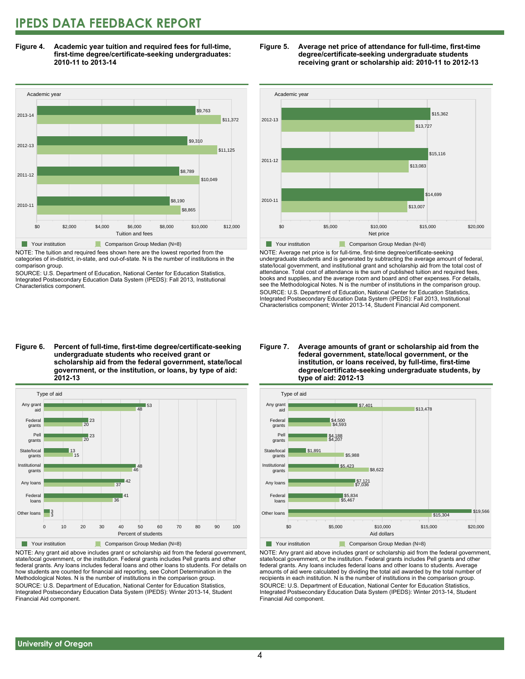# **IPEDS DATA FEEDBACK REPORT**

**Figure 4. Academic year tuition and required fees for full-time, first-time degree/certificate-seeking undergraduates: 2010-11 to 2013-14**



NOTE: The tuition and required fees shown here are the lowest reported from the categories of in-district, in-state, and out-of-state. N is the number of institutions in the comparison group.

SOURCE: U.S. Department of Education, National Center for Education Statistics, Integrated Postsecondary Education Data System (IPEDS): Fall 2013, Institutional Characteristics component.





NOTE: Average net price is for full-time, first-time degree/certificate-seeking undergraduate students and is generated by subtracting the average amount of federal, state/local government, and institutional grant and scholarship aid from the total cost of attendance. Total cost of attendance is the sum of published tuition and required fees, books and supplies, and the average room and board and other expenses. For details, see the Methodological Notes. N is the number of institutions in the comparison group. SOURCE: U.S. Department of Education, National Center for Education Statistics, Integrated Postsecondary Education Data System (IPEDS): Fall 2013, Institutional Characteristics component; Winter 2013-14, Student Financial Aid component.

**Figure 6. Percent of full-time, first-time degree/certificate-seeking undergraduate students who received grant or scholarship aid from the federal government, state/local government, or the institution, or loans, by type of aid: 2012-13**



NOTE: Any grant aid above includes grant or scholarship aid from the federal government, state/local government, or the institution. Federal grants includes Pell grants and other federal grants. Any loans includes federal loans and other loans to students. For details on how students are counted for financial aid reporting, see Cohort Determination in the Methodological Notes. N is the number of institutions in the comparison group. SOURCE: U.S. Department of Education, National Center for Education Statistics, Integrated Postsecondary Education Data System (IPEDS): Winter 2013-14, Student Financial Aid component.

#### **Figure 7. Average amounts of grant or scholarship aid from the federal government, state/local government, or the institution, or loans received, by full-time, first-time degree/certificate-seeking undergraduate students, by type of aid: 2012-13**



NOTE: Any grant aid above includes grant or scholarship aid from the federal government, state/local government, or the institution. Federal grants includes Pell grants and other federal grants. Any loans includes federal loans and other loans to students. Average amounts of aid were calculated by dividing the total aid awarded by the total number of recipients in each institution. N is the number of institutions in the comparison group. SOURCE: U.S. Department of Education, National Center for Education Statistics, Integrated Postsecondary Education Data System (IPEDS): Winter 2013-14, Student Financial Aid component.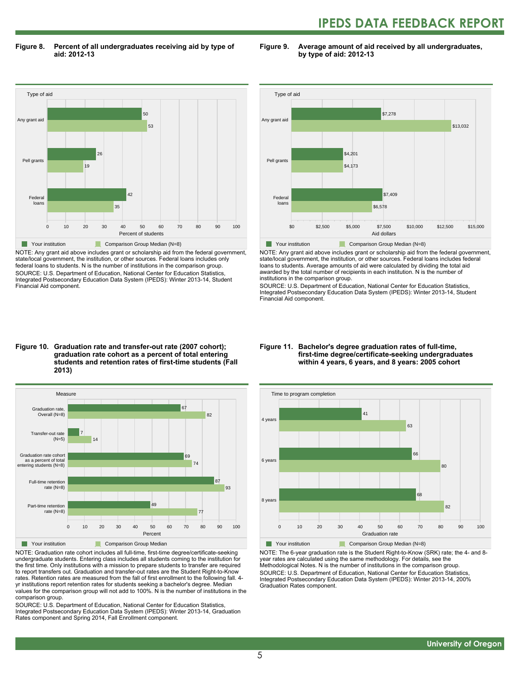# **IPEDS DATA FEEDBACK REPORT**

**Figure 8. Percent of all undergraduates receiving aid by type of aid: 2012-13**

**Figure 9. Average amount of aid received by all undergraduates, by type of aid: 2012-13**



NOTE: Any grant aid above includes grant or scholarship aid from the federal government, state/local government, the institution, or other sources. Federal loans includes only federal loans to students. N is the number of institutions in the comparison group. SOURCE: U.S. Department of Education, National Center for Education Statistics, Integrated Postsecondary Education Data System (IPEDS): Winter 2013-14, Student Financial Aid component.



NOTE: Any grant aid above includes grant or scholarship aid from the federal government, state/local government, the institution, or other sources. Federal loans includes federal loans to students. Average amounts of aid were calculated by dividing the total aid awarded by the total number of recipients in each institution. N is the number of institutions in the comparison group.

SOURCE: U.S. Department of Education, National Center for Education Statistics, Integrated Postsecondary Education Data System (IPEDS): Winter 2013-14, Student Financial Aid component.

#### **Figure 10. Graduation rate and transfer-out rate (2007 cohort); graduation rate cohort as a percent of total entering students and retention rates of first-time students (Fall 2013)**



NOTE: Graduation rate cohort includes all full-time, first-time degree/certificate-seeking undergraduate students. Entering class includes all students coming to the institution for the first time. Only institutions with a mission to prepare students to transfer are required to report transfers out. Graduation and transfer-out rates are the Student Right-to-Know rates. Retention rates are measured from the fall of first enrollment to the following fall. 4 yr institutions report retention rates for students seeking a bachelor's degree. Median values for the comparison group will not add to 100%. N is the number of institutions in the comparison group.

SOURCE: U.S. Department of Education, National Center for Education Statistics, Integrated Postsecondary Education Data System (IPEDS): Winter 2013-14, Graduation Rates component and Spring 2014, Fall Enrollment component.

#### **Figure 11. Bachelor's degree graduation rates of full-time, first-time degree/certificate-seeking undergraduates within 4 years, 6 years, and 8 years: 2005 cohort**



NOTE: The 6-year graduation rate is the Student Right-to-Know (SRK) rate; the 4- and 8 year rates are calculated using the same methodology. For details, see the Methodological Notes. N is the number of institutions in the comparison group. SOURCE: U.S. Department of Education, National Center for Education Statistics, Integrated Postsecondary Education Data System (IPEDS): Winter 2013-14, 200% Graduation Rates component.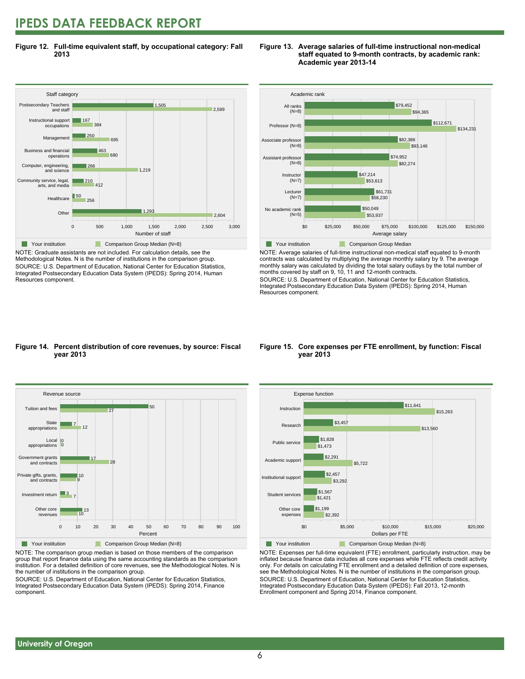# **IPEDS DATA FEEDBACK REPORT**

**Figure 12. Full-time equivalent staff, by occupational category: Fall 2013**



NOTE: Graduate assistants are not included. For calculation details, see the Methodological Notes. N is the number of institutions in the comparison group. SOURCE: U.S. Department of Education, National Center for Education Statistics, Integrated Postsecondary Education Data System (IPEDS): Spring 2014, Human Resources component.

#### **Figure 13. Average salaries of full-time instructional non-medical staff equated to 9-month contracts, by academic rank: Academic year 2013-14**



NOTE: Average salaries of full-time instructional non-medical staff equated to 9-month contracts was calculated by multiplying the average monthly salary by 9. The average monthly salary was calculated by dividing the total salary outlays by the total number of months covered by staff on 9, 10, 11 and 12-month contracts.

SOURCE: U.S. Department of Education, National Center for Education Statistics, Integrated Postsecondary Education Data System (IPEDS): Spring 2014, Human Resources component.

#### **Figure 14. Percent distribution of core revenues, by source: Fiscal year 2013**



NOTE: The comparison group median is based on those members of the comparison group that report finance data using the same accounting standards as the comparison institution. For a detailed definition of core revenues, see the Methodological Notes. N is the number of institutions in the comparison group.

SOURCE: U.S. Department of Education, National Center for Education Statistics, Integrated Postsecondary Education Data System (IPEDS): Spring 2014, Finance component.

#### **Figure 15. Core expenses per FTE enrollment, by function: Fiscal year 2013**



NOTE: Expenses per full-time equivalent (FTE) enrollment, particularly instruction, may be inflated because finance data includes all core expenses while FTE reflects credit activity only. For details on calculating FTE enrollment and a detailed definition of core expenses, see the Methodological Notes. N is the number of institutions in the comparison group. SOURCE: U.S. Department of Education, National Center for Education Statistics, Integrated Postsecondary Education Data System (IPEDS): Fall 2013, 12-month Enrollment component and Spring 2014, Finance component.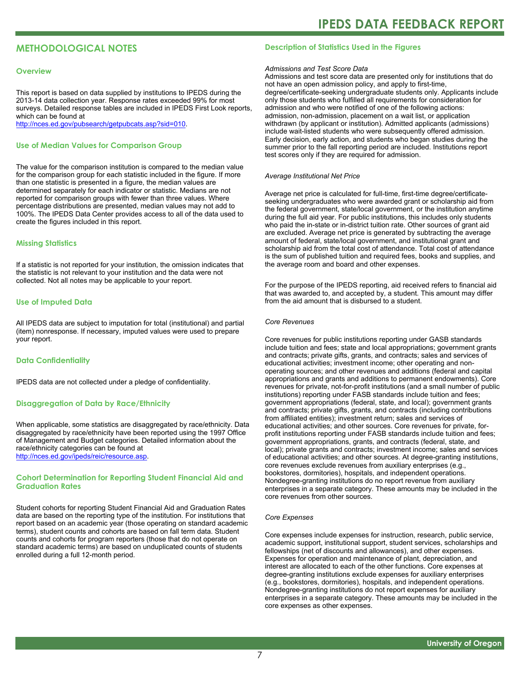# **METHODOLOGICAL NOTES**

#### **Overview**

This report is based on data supplied by institutions to IPEDS during the 2013-14 data collection year. Response rates exceeded 99% for most surveys. Detailed response tables are included in IPEDS First Look reports, which can be found at [http://nces.ed.gov/pubsearch/getpubcats.asp?sid=010.](http://nces.ed.gov/pubsearch/getpubcats.asp?sid=010)

#### **Use of Median Values for Comparison Group**

The value for the comparison institution is compared to the median value for the comparison group for each statistic included in the figure. If more than one statistic is presented in a figure, the median values are determined separately for each indicator or statistic. Medians are not reported for comparison groups with fewer than three values. Where percentage distributions are presented, median values may not add to 100%. The IPEDS Data Center provides access to all of the data used to create the figures included in this report.

#### **Missing Statistics**

If a statistic is not reported for your institution, the omission indicates that the statistic is not relevant to your institution and the data were not collected. Not all notes may be applicable to your report.

#### **Use of Imputed Data**

All IPEDS data are subject to imputation for total (institutional) and partial (item) nonresponse. If necessary, imputed values were used to prepare your report.

#### **Data Confidentiality**

IPEDS data are not collected under a pledge of confidentiality.

#### **Disaggregation of Data by Race/Ethnicity**

When applicable, some statistics are disaggregated by race/ethnicity. Data disaggregated by race/ethnicity have been reported using the 1997 Office of Management and Budget categories. Detailed information about the race/ethnicity categories can be found at <http://nces.ed.gov/ipeds/reic/resource.asp>.

#### **Cohort Determination for Reporting Student Financial Aid and Graduation Rates**

Student cohorts for reporting Student Financial Aid and Graduation Rates data are based on the reporting type of the institution. For institutions that report based on an academic year (those operating on standard academic terms), student counts and cohorts are based on fall term data. Student counts and cohorts for program reporters (those that do not operate on standard academic terms) are based on unduplicated counts of students enrolled during a full 12-month period.

#### **Description of Statistics Used in the Figures**

#### *Admissions and Test Score Data*

Admissions and test score data are presented only for institutions that do not have an open admission policy, and apply to first-time, degree/certificate-seeking undergraduate students only. Applicants include only those students who fulfilled all requirements for consideration for admission and who were notified of one of the following actions: admission, non-admission, placement on a wait list, or application withdrawn (by applicant or institution). Admitted applicants (admissions) include wait-listed students who were subsequently offered admission. Early decision, early action, and students who began studies during the summer prior to the fall reporting period are included. Institutions report test scores only if they are required for admission.

#### *Average Institutional Net Price*

Average net price is calculated for full-time, first-time degree/certificateseeking undergraduates who were awarded grant or scholarship aid from the federal government, state/local government, or the institution anytime during the full aid year. For public institutions, this includes only students who paid the in-state or in-district tuition rate. Other sources of grant aid are excluded. Average net price is generated by subtracting the average amount of federal, state/local government, and institutional grant and scholarship aid from the total cost of attendance. Total cost of attendance is the sum of published tuition and required fees, books and supplies, and the average room and board and other expenses.

For the purpose of the IPEDS reporting, aid received refers to financial aid that was awarded to, and accepted by, a student. This amount may differ from the aid amount that is disbursed to a student.

#### *Core Revenues*

Core revenues for public institutions reporting under GASB standards include tuition and fees; state and local appropriations; government grants and contracts; private gifts, grants, and contracts; sales and services of educational activities; investment income; other operating and nonoperating sources; and other revenues and additions (federal and capital appropriations and grants and additions to permanent endowments). Core revenues for private, not-for-profit institutions (and a small number of public institutions) reporting under FASB standards include tuition and fees; government appropriations (federal, state, and local); government grants and contracts; private gifts, grants, and contracts (including contributions from affiliated entities); investment return; sales and services of educational activities; and other sources. Core revenues for private, forprofit institutions reporting under FASB standards include tuition and fees; government appropriations, grants, and contracts (federal, state, and local); private grants and contracts; investment income; sales and services of educational activities; and other sources. At degree-granting institutions, core revenues exclude revenues from auxiliary enterprises (e.g., bookstores, dormitories), hospitals, and independent operations. Nondegree-granting institutions do no report revenue from auxiliary enterprises in a separate category. These amounts may be included in the core revenues from other sources.

#### *Core Expenses*

Core expenses include expenses for instruction, research, public service, academic support, institutional support, student services, scholarships and fellowships (net of discounts and allowances), and other expenses. Expenses for operation and maintenance of plant, depreciation, and interest are allocated to each of the other functions. Core expenses at degree-granting institutions exclude expenses for auxiliary enterprises (e.g., bookstores, dormitories), hospitals, and independent operations. Nondegree-granting institutions do not report expenses for auxiliary enterprises in a separate category. These amounts may be included in the core expenses as other expenses.